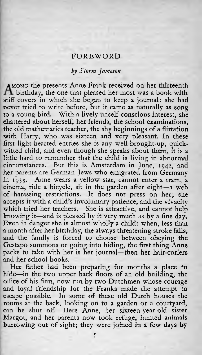# **FOREWORD**

# *by Storm Jameson*

among the presents Anne Frank received on her thirteenth  $\Lambda$  birthday, the one that pleased her most was a book with stiff covers in which she began to keep a journal: she had never tried to write before, but it came as naturally as song to a young bird. With a lively unself-conscious interest, she chattered about herself, her friends, the school examinations, the old mathematics teacher, the shy beginnings of a flirtation with Harry, who was sixteen and very pleasant. In these first light-hearted entries she is any well-brought-up, quickwitted child, and even though she speaks about them, it is a little hard to remember that the child is living in abnormal circumstances. But this is Amsterdam in June, 1942, and her parents are German Jews who emigrated from Germany in 1933. Anne wears a yellow star, cannot enter a tram, a cinema, ride a bicycle, sit in the garden after eight—a web of harassing restrictions. It does not press on her; she accepts it with a child's involuntary patience, and the vivacity which tried her teachers. She is attractive, and cannot help knowing it—and is pleased by it very much as by a fine day. Even in danger she is almost wholly a child: when, less than a month after her birthday, the always threatening stroke falls, and the family is forced to choose between obeying the Gestapo summons or going into hiding, the first thing Anne packs to take with her is her journal—then her hair-curlers and her school books.

Her father had been preparing for months a place to hide—in the two upper back floors of an old building, the office of his firm, now run by two Dutchmen whose courage and loyal friendship for the Franks made the attempt to escape possible. In some of these old Dutch houses the rooms at the back, looking on to a garden or a courtyard, can be shut off. Here Anne, her sixteen-year-old sister Margot, and her parents now took refuge, hunted animals burrowing out of sight; they were joined in a few days by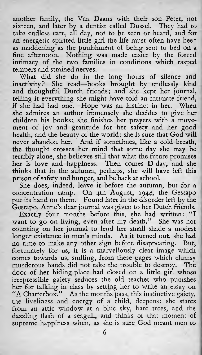another family, the Van Daans with their son Peter, not sixteen, and later by a dentist called Dussel. They had to take endless care, all day, not to be seen or heard, and for an energetic spirited little girl the life must often have been as maddening as the punishment of being sent to bed on a fine afternoon. Nothing was made easier by the forced intimacy of the two families in conditions which rasped tempers and strained nerves.

What did she do in the long hours of silence and inactivity ? She read—books brought by endlessly kind and thoughtful Dutch friends; and she kept her journal, telling it everything she might have told an intimate friend, if she had had one. Hope was an instinct in her. When she admires an author immensely she decides to give her children his books; she finishes her prayers with a movement of joy and gratitude for her safety and her good health, and the beauty of the world: she is sure that God will never abandon her. And if sometimes, like a cold breath, the thought crosses her mind that some day she may be terribly alone, she believes still that what the future promises her is love and happiness. Then comes D-day, and she thinks that in the autumn, perhaps, she will have left this prison of safety and hunger, and be back at school.

She does, indeed, leave it before the autumn, but for a concentration camp. On 4th August, 1944, the Gestapo put its hand on them. Found later in the disorder left by the Gestapo, Anne's dear journal was given to her Dutch friends.

Exactly four months before this, she had written: " I want to go on living, even after my death." She was not counting on her journal to lend her small shade a modest longer existence in men's minds. As it turned out, she had no time to make any other sign before disappearing. But, fortunately for us, it is a marvellously clear image which comes towards us, smiling, from these pages which clumsy murderous hands did not take the trouble to destroy. The door of her hiding-place had closed on a little girl whose irrepressible gaiety seduces the old teacher who punishes her for talking in class by setting her to write an essay on "A Chatterbox." As the months pass, this instinctive gaiety, the liveliness and energy of a child, deepens: she stares from an attic window at a blue sky, bare trees, and the dazzling flash of a seagull, and thinks of that moment of supreme happiness when, as she is sure God meant men to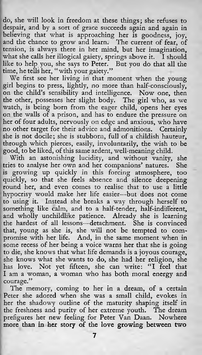do, she will look in freedom at these things; she refuses to despair, and by a sort of grace succeeds again and again in believing that what is approaching her is goodness, joy, and the chance to grow and learn. The current of fear, of tension, is always there in her mind, but her imagination, what she calls her illogical gaiety, springs above it. I should like to help you, she says to Peter. But you do that all the time, he tells her, " with your gaiety."

We first see her living in that moment when the young girl begins to press, lightly, no more than half-consciously, on the child's sensibility and intelligence. Now one, then the other, possesses her slight body. The girl who, as we watch, is being born from the eager child, opens her eyes on the walls of a prison, and has to endure the pressure on her of four adults, nervously on edge and anxious, who have no other target for their advice and admonitions. Certainly she is not docile; she is stubborn, full of a childish hauteur, through which pierces, easily, involuntarily, the wish to be good, to be liked, of this same ardent, well-meaning child.

With an astonishing lucidity, and without vanity, she tries to analyse her own and her companions' natures. She is growing up quickly in this forcing atmosphere, too quickly, so that she feels absence and silence deepening round her, and even comes to realise that to use a little hypocrisy would make her life easier—but does not come to using it. Instead she breaks a way through herself to something like calm, and to a half-tender, half-indifferent, and wholly unchildlike patience. Already she is learning the hardest of all lessons-detachment. She is convinced that, young as she is, she will not be tempted to compromise with her life. And, in the same moment when in some recess of her being a voice warns her that she is going to die, she knows that what life demands is a joyous courage, she knows what she wants to do, she had her religion, she has love. Not yet fifteen, she can write: "I feel that I am a woman, a woman who has both moral energy and courage."

The memory, coming to her in a dream, of a certain Peter she adored when she was a small child, evokes in her the shadowy outline of the maturity shaping itself in the freshness and purity of her extreme youth. The dream prefigures her new feeling for Peter Van Daan. **Nowhere more than in her story of** the **love growing between two**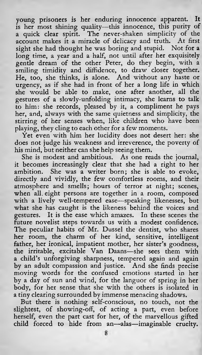young prisoners is her enduring innocence apparent. It is her most shining quality—this innocence, this purity of a quick clear spirit. The never-shaken simplicity of the account makes it a miracle of delicacy and truth. At first sight she had thought he was boring and stupid. Not for a long time, a year and a half, not until after her exquisitely gentle dream of the other Peter, do they begin, with a smiling timidity and diffidence, to draw closer together. He, too, she thinks, is alone. And without any haste or urgency, as if she had in front of her a long life in which she would be able to make, one after another, all the gestures of a slowly-unfolding intimacy, she learns to talk to him: she records, pleased by it, a compliment he pays her, and, always with the same quietness and simplicity, the stirring of her senses when, like children who have been playing, they cling to each other for a few moments.

Yet even with him her lucidity does not desert her: she does not judge his weakness and irreverence, the poverty of his mind, but neither can she help seeing them.

She is modest and ambitious. As one reads the journal, it becomes increasingly clear that she had a right to her ambition. She was a writer born; she is able to evoke, directly and vividly, the few comfortless rooms, and their atmosphere and smells; hours of terror at night; scenes, when all. eight persons are together in a room, composed with a lively well-tempered ease— speaking likenesses, but what she has caught is the likeness behind the voices and gestures. It is the ease which amazes. In these scenes the future novelist steps towards us with a modest confidence. The peculiar habits of Mr. Dussel the dentist, who shares her room, the charm of her kind, sensitive, intelligent father, her ironical, impatient mother, her sister's goodness, the irritable, excitable Van Daans— she sees them with a child's unforgiving sharpness, tempered again and again by an adult compassion and justice. And she finds precise moving words for the confused emotions started in her by a day of sun and wind, for the languor of spring in her body, for her sense that she with the others is isolated in a tiny clearing surrounded by immense menacing shadows.

But there is nothing self-conscious, no touch, not the slightest, of showing-off, of acting a part, even before herself, even the part cast for her, of the marvellous gifted child forced to hide from an—alas— imaginable cruelty.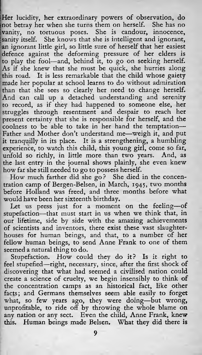Her lucidity, her extraordinary powers of observation, do (not betray her when she turns them on herself. She has no vanity, no tortuous poses. She is candour, innocence. sanity itself. She knows that she is intelligent and ignorant, an ignorant little girl, so little sure of herself that her easiest defence against the deforming pressure of her elders is to play the fool—and, behind it, to go on seeking herself. As if she knew that she must be quick, she hurries along this road. It is less remarkable that the child whose gaiety made her popular at school learns to do without admiration than that she sees so clearly her need to change herself. And can call up a detached understanding and serenity to record, as if they had happened to someone else, her struggles through resentment and despair to reach her present certainty that she is responsible for herself, and the coolness to be able to take in her hand the temptation— Father and Mother don't understand me—weigh it, and put it tranquilly in its place. It is a strengthening, a humbling experience, to watch this child, this young girl, come so far, unfold so richly, in little more than two years. And, as the last entry in the journal shows plainly, she even knew how far she still needed to go to possess herself.

How much farther did she go? She died in the concentration camp of Bergen-Belsen, in March, 1945, two months before Holland was freed, and three months before what would have been her sixteenth birthday.

Let us press just for a moment on the feeling— of stupefaction—that must start in us when we think that, in our lifetime, side by side with the amazing achievements of scientists and inventors, there exist these vast slaughterhouses for human beings, and that, to a number of her fellow human beings, to send Anne Frank to one of them seemed a natural thing to do.

Stupefaction. How could they do it? Is it right to feel stupefied—right, necessary, since, after the first shock of discovering that what had seemed a civilised nation could create a science of cruelty, we begin insensibly to think of the concentration camps as an historical fact, like other facts; and Germans themselves seem able easily to forget what, so few years ago, they were doing—but wrong, unprofitable, to ride off by throwing the whole blame on any nation or any sect. Even the child, Anne Frank, knew this. Human beings made Belsen. What they did there is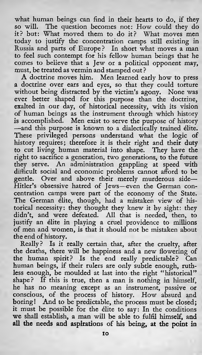what human beings can find in their hearts to do, if they so will. The question becomes not: How could they do it? but: What moved them to do it? What moves men today to justify the concentration camps still existing in Russia and parts of Europe? In short what moves a man to feel such contempt for his fellow human beings that he comes to believe that a Jew or a political opponent may, must, be treated as vermin and stamped out ?

A doctrine moves him. Men learned early how to press a doctrine over ears and eyes, so that they could torture without being distracted by the victim's agony. None was ever better shaped for this purpose than the doctrine, exalted in our day, of historical necessity, with its vision of human beings as the instrument through which history is accomplished. Men exist to serve the purpose of history — and this purpose is known to a dialectically trained élite. These privileged persons understand what the logic of history requires; therefore it is their right and their duty to cut living human material into shape. They have the right to sacrifice a generation, two generations, to the future they serve. An administration grappling at speed with difficult social and economic problems cannot afford to be gentle. Over and above their merely murderous side— Hitler's obsessive hatred of Jews--even the German concentration camps were part of the economy of the State. The German élite, though, had a mistaken view of historical necessity: they thought they knew it by sight: they didn't, and were defeated. All that is needed, then, to justify an élite in playing a cruel providence to millions of men and women, is that it should not be mistaken about the end of history.

Really? Is it really certain that, after the cruelty, after the deaths, there will be happiness and a new flowering of the human spirit? Is the end really predictable? Can human beings, if their rulers are only subtle enough, ruthless enough, be moulded at last into the right " historical" shape? If this is true, then a man is nothing in himself, he has no meaning except as an instrument, passive or conscious, of the process of history. How absurd and boring! And to be predictable, the process must be closed; it must be possible for the élite to say: In the conditions we shall establish, a man will be able to fulfil himself, **and** all the needs and aspirations of his being, at the point in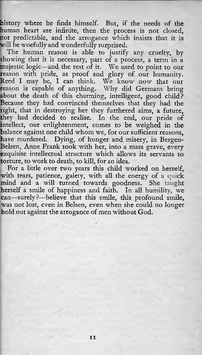history where he finds himself. But, if the needs of the human heart are infinite, then the process is not closed, not predictable, and the arrogance which insists that it is will be woefully and wonderfully surprised.

The human reason is able to justify any cruelty, by showing that it is necessary, part of a process, a term in a majestic logic—and the rest of it. We used to point to our reason with pride, as proof and glory of our humanity. Reed I may be, I can think. We know now that our reason is capable of anything. Why did Germans bring about the death of this charming, intelligent, good child? Because they had convinced themselves that they had the right, that in destroying her they furthered aims, a future, they had decided to realise. In the end, our pride of intellect, our enlightenment, comes to be weighed in the balance against one child whom we, for our sufficient reasons, have murdered. Dying, of hunger and misery, in Bergen-Belsen, Anne Frank took with her, into a mass grave, every exquisite intellectual structure which allows its servants to torture, to work to death, to kill, for an idea.

For a little over two years this child worked on herself, with tears, patience, gaiety, with all the energy of a quick mind and a will turned towards goodness. She taught herself a smile of happiness and faith. In all humility, we can—surely?—believe that this smile, this profound smile, was not lost, even in Belsen, even when she could no longer hold out against the arrogance of men without God.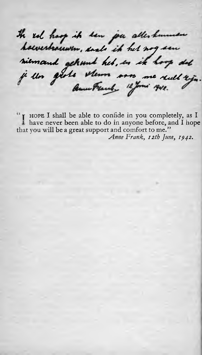**•it** *i+ l, -+A* anale in net way mimand ochunk het, in in */(<■* **'¿¿•»** *& £r4-t ^.■f.^t, ^ u , \*CcOJ*

"I HOPE I shall be able to confide in you completely, as I have never been able to do in anyone before, and I hope that you will be a great support and comfort to me." *Anne Frank, 12th June, 1942.*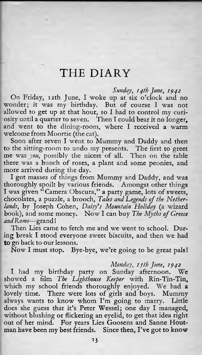# THE DIARY

# *Sunday, 14th June, 1942*

On Friday, 12th June, I woke up at six o'clock and no wonder; it was my birthday. But of course I was not allowed to get up at that hour, so I had to control my curiosity until a quarter to seven. Then I could bear it no longer, and went to the dining-room, where I received a warm welcome from Moortie (the cat).

Soon after seven I went to Mummy and Daddy and then to the sitting-room to undo my presents. The first to greet me was *you*, possibly the nicest of all. Then on the table there was a bunch of roses, a plant and some peonies, and more arrived during the day.

I got masses of things from Mummy and Daddy, and was thoroughly spoilt by various friends. Amongst other things I was given "Camera Obscura," a party game, lots of sweets, chocolates, a puzzle, a brooch, *Tales and Legends of the Netherlands,* by Joseph Cohen, *Daisy's Mountain Holiday* (a wizard book), and some money. Now I can buy *The Myths of Greece and Tome*—grand!

Then Lies came to fetch me and we went to school. During break I stood everyone sweet biscuits, and then we had **to** go back to our lessons.

Now I must stop. Bye-bye, we're going to be great pals!

#### *Monday, 15th June, 1942*

I had my birthday party on Sunday afternoon. We showed a film *The Lighthouse Keeper* with Rin-Tin-Tin, which my school friends thoroughly enjoyed. We had **a** lovely time. There were lots of girls and boys. Mummy always wants to know whom **I'm** going to marry. Little does she guess that it's Peter Wessel; one day I managed, without blushing or flickering an eyelid, to get that idea right out of her mind. For years Lies Goosens and Sanne Hout**man have been my best friends. Since then, I've got to know**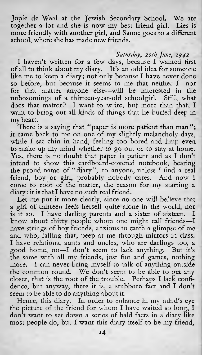Jopie de Waal at the Jewish Secondary School. We are together a lot and she is now my best friend girl. Lies is more friendly with another girl, and Sanne goes to a different school, where she has made new friends.

# *Saturday, 20th June, 1942*

I haven't written for a few days, because I wanted first of all to think about my diary. It's an odd idea for someone like me to keep a diary; not only because I have never done so before, but because it seems to me that neither I-nor for that matter anyone else—will be interested in the unbosomings of a thirteen-year-old schoolgirl. Still, what does that matter? I want to write, but more than that, I want to bring out all kinds of things that lie buried deep in my heart.

There is a saying that "paper is more patient than man"; it came back to me on one of my slightly melancholy days, while I sat chin in hand, feeling too bored and limp even to make up my mind whether to go out or to stay at home. Yes, there is no doubt that paper is patient and as I don't intend to show this cardboard-covered notebook, bearing the proud name of "diary", to anyone, unless I find a real friend, boy or girl, probably nobody cares. And now I come to root of the matter, the reason for my starting a diary: it is that I have no such real friend.

Let me put it more clearly, since no one will believe that a girl of thirteen feels herself quite alone in the world, nor is it so. I have darling parents and a sister of sixteen. I know about thirty people whom one might call friends—I have strings of boy friends, anxious to catch a glimpse of me and who, failing that, peep at me through mirrors in class. I have relations, aunts and uncles, who are darlings too, a good home, no—I don't seem to lack anything. But it's the same with all my friends, just fun and games, nothing more. I can never bring myself to talk of anything outside the common round. We don't seem to be able to get any closer, that is the root of the trouble. Perhaps I lack confidence, but anyway, there it is, a stubborn fact and I don't seem to be able to do anything about it.

Hence, this diary. In order to enhance in my mind's eye the picture of the friend for whom I have waited so long, I don't want to set down a series of bald facts in a diary like most people do, but I want this diary itself to be my friend,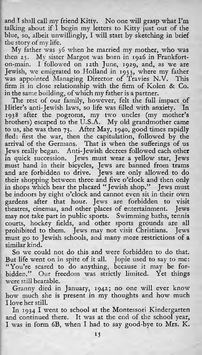and I shall call my friend Kitty. No one will grasp what I'm talking about if I begin my letters to Kitty just out of the blue, so, albeit unwillingly, I will start by sketching in brief the story of my life.

My father was 36 when he married my mother, who was then 25. My sister Margot was born in 1926 in Frankforton-main. I followed on 1 2th June, 1929, and, as we are Jewish, we emigrated to Holland in 1933, where my father was appointed Managing Director of Travies N.V. This firm is in close relationship with the firm of Kolen & Co. in the same building, of which my father is a partner.

The rest of our family, however, felt the full impact of Hitler's anti-Jewish laws, so life was filled with anxiety. In 1938 after the pogroms, my two uncles (my mother's brothers) escaped to the U.S.A. My old grandmother came to us, she was then 73. After May, 1940, good times rapidly fled: first the war, then the capitulation, followed by the arrival of the Germans. That is when the sufferings of us Jews really began. Anti-Jewish decrees followed each other in quick succession. Jews must wear a yellow star, Jews must hand in their bicycles, Jews are banned from trams and are forbidden to drive. Jews are only allowed to do their shopping between three and five o'clock and then only in shops which bear the placard "Jewish shop." Jews must be indoors by eight o'clock and cannot even sit in their own gardens after that hour. Jews are forbidden to visit theatres, cinemas, and other places of entertainment. Jews may not take part in public sports. Swimming baths, tennis courts, hockey fields, and other sports grounds are all prohibited to them. Jews may not visit Christians. Jews must go to Jewish schools, and many more restrictions of a similar kind.

So we could not do this and were forbidden to do that. But life went on in spite of it all. Jopie used to say to me: "You're scared to do anything, because it may be forbidden." Our freedom was strictly limited. Yet things were still bearable.

Granny died in January, 1942; no one will ever know how much she is present in my thoughts and how much I love her still.

In 1934 I went to school at the Montessori Kindergarten and continued there. It was at the end of the school year, I was in form 6B, when I had to say good-bye to Mrs. K.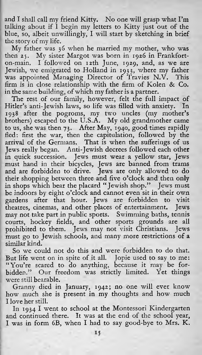and I shall call my friend Kitty. No one will grasp what I'm talking about if I begin my letters to Kitty just out of the blue, so, albeit unwillingly, I will start by sketching in brief the story of my life.

My father was 36 when he married my mother, who was then 25. My sister Margot was born in 1926 in Frankforton-main. I followed on 12th June, 1929, and, as we are Jewish, we emigrated to Holland in 1933, where my father was appointed Managing Director of Travies N.V. This firm is in close relationship with the firm of Kolen  $\&$  Co. in the same building, of which my father is a partner.

The rest of our family, however, felt the full impact of Hitler's anti-Jewish laws, so life was filled with anxiety. In 1938 after the pogroms, my two uncles (my mother's brothers) escaped to the U.S.A. My old grandmother came to us, she was then 73. After May, 1940, good times rapidly fled: first the war, then the capitulation, followed by the arrival of the Germans. That is when the sufferings of us Jews really began. Anti-Jewish decrees followed each other in quick succession. Jews must wear a yellow star, Jews must hand in their bicycles, Jews are banned from trams and are forbidden to drive. Jews are only allowed to do their shopping between three and five o'clock and then only in shops which bear the placard "Jewish shop." Jews must be indoors by eight o'clock and cannot even sit in their own gardens after that hour. Jews are forbidden to visit theatres, cinemas, and other places of entertainment. Jews may not take part in public sports. Swimming baths, tennis courts, hockey fields, and other sports grounds are all prohibited to them. Jews may not visit Christians. Jews must go to Jewish schools, and many more restrictions of a similar kind.

So we could not do this and were forbidden to do that. But life went on in spite of it all. Jopie used to say to me: "You're scared to do anything, because it may be forbidden." Our freedom was strictly limited. Yet things were still bearable.

Granny died in January, 1942; no one will ever know how much she is present in my thoughts and how much I love her still.

In 1934 I went to school at the Montessori Kindergarten and continued there. It was at the end of the school year, I was in form 6B, when I had to say good-bye to Mrs. K.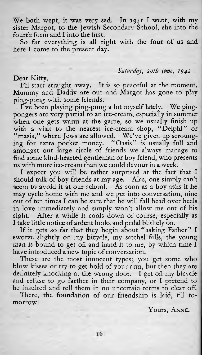We both wept, it was very sad. In 1941 I went, with my sister Margot, to the Jewish Secondary School, she into the fourth form and I into the first.

So far everything is all right with the four of us and here I come to the present day.

## *Saturday, 20th June, 1942*

Dear Kitty,

I'll start straight away. It is so peaceful at the moment, Mummy and Daddy are out and Margot has gone to play ping-pong with some friends.

I've been playing ping-pong a lot myself lately. We pingpongers are very partial to an ice-cream, especially in summer when one gets warm at the game, so we usually finish up with a visit to the nearest ice-cream shop, " Delphi" or "masis," where Jews are allowed. We've given up scrounging for extra pocket money. " Oasis" is usually full and amongst our large circle of friends we always manage to find some kind-hearted gentleman or boy friend, who presents us with more ice-cream than we could devour in a week.

I expect you will be rather surprised at the fact that I should talk of boy friends at my age. Alas, one simply can't seem to avoid it at our school. As soon as a boy asks if he may cycle home with me and we get into conversation, nine out of ten times I can be sure that he will fall head over heels in love immediately and simply won't allow me out of his sight. After a while it cools down of course, especially as I take little notice of ardent looks and pedal blithely on.

If it gets so far that they begin about "asking Father" I swerve slightly on my bicycle, my satchel falls, the young man is bound to get off and hand it to me, by which time I have introduced a new topic of conversation.

These are the most innocent types; you get some who blow kisses or try to get hold of your arm, but then they are definitely knocking at the wrong door. I get off my bicycle and refuse to go farther in their company, or I pretend to be insulted and tell them in no uncertain terms to clear off.

There, the foundation of our friendship is laid, till tomorrow 1

Yours, ANNE.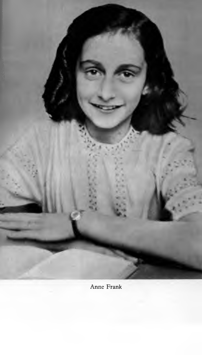

Anne Frank